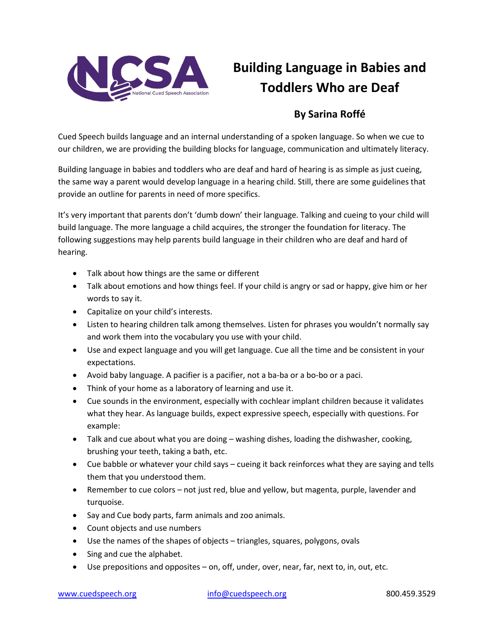

## **Building Language in Babies and Toddlers Who are Deaf**

## **By Sarina Roffé**

Cued Speech builds language and an internal understanding of a spoken language. So when we cue to our children, we are providing the building blocks for language, communication and ultimately literacy.

Building language in babies and toddlers who are deaf and hard of hearing is as simple as just cueing, the same way a parent would develop language in a hearing child. Still, there are some guidelines that provide an outline for parents in need of more specifics.

It's very important that parents don't 'dumb down' their language. Talking and cueing to your child will build language. The more language a child acquires, the stronger the foundation for literacy. The following suggestions may help parents build language in their children who are deaf and hard of hearing.

- Talk about how things are the same or different
- Talk about emotions and how things feel. If your child is angry or sad or happy, give him or her words to say it.
- Capitalize on your child's interests.
- Listen to hearing children talk among themselves. Listen for phrases you wouldn't normally say and work them into the vocabulary you use with your child.
- Use and expect language and you will get language. Cue all the time and be consistent in your expectations.
- Avoid baby language. A pacifier is a pacifier, not a ba-ba or a bo-bo or a paci.
- Think of your home as a laboratory of learning and use it.
- Cue sounds in the environment, especially with cochlear implant children because it validates what they hear. As language builds, expect expressive speech, especially with questions. For example:
- Talk and cue about what you are doing washing dishes, loading the dishwasher, cooking, brushing your teeth, taking a bath, etc.
- Cue babble or whatever your child says cueing it back reinforces what they are saying and tells them that you understood them.
- Remember to cue colors not just red, blue and yellow, but magenta, purple, lavender and turquoise.
- Say and Cue body parts, farm animals and zoo animals.
- Count objects and use numbers
- Use the names of the shapes of objects triangles, squares, polygons, ovals
- Sing and cue the alphabet.
- Use prepositions and opposites on, off, under, over, near, far, next to, in, out, etc.